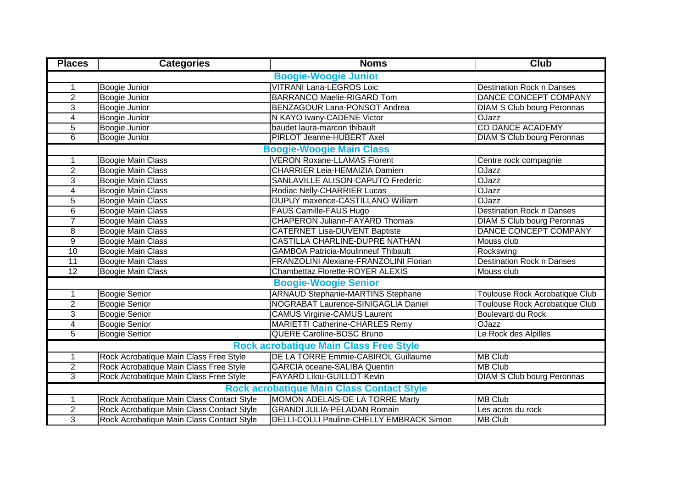| <b>Places</b>                                    | <b>Categories</b>                         | <b>Noms</b>                                | <b>Club</b>                           |  |  |
|--------------------------------------------------|-------------------------------------------|--------------------------------------------|---------------------------------------|--|--|
| <b>Boogie-Woogie Junior</b>                      |                                           |                                            |                                       |  |  |
| 1                                                | Boogie Junior                             | <b>VITRANI Lana-LEGROS Loic</b>            | <b>Destination Rock n Danses</b>      |  |  |
| $\overline{2}$                                   | <b>Boogie Junior</b>                      | <b>BARRANCO Maelie-RIGARD Tom</b>          | DANCE CONCEPT COMPANY                 |  |  |
| 3                                                | Boogie Junior                             | BENZAGOUR Lana-PONSOT Andrea               | <b>DIAM S Club bourg Peronnas</b>     |  |  |
| 4                                                | Boogie Junior                             | N KAYO Ivany-CADENE Victor                 | <b>OJazz</b>                          |  |  |
| $\overline{5}$                                   | Boogie Junior                             | baudet laura-marcon thibault               | <b>CO DANCE ACADEMY</b>               |  |  |
| $\overline{6}$                                   | Boogie Junior                             | <b>PIRLOT Jeanne-HUBERT Axel</b>           | <b>DIAM S Club bourg Peronnas</b>     |  |  |
| <b>Boogie-Woogie Main Class</b>                  |                                           |                                            |                                       |  |  |
| 1                                                | Boogie Main Class                         | <b>VERON Roxane-LLAMAS Florent</b>         | Centre rock compagnie                 |  |  |
| $\overline{2}$                                   | <b>Boogie Main Class</b>                  | <b>CHARRIER Leia-HEMAIZIA Damien</b>       | <b>OJazz</b>                          |  |  |
| $\overline{3}$                                   | <b>Boogie Main Class</b>                  | SANLAVILLE ALISON-CAPUTO Frederic          | <b>OJazz</b>                          |  |  |
| 4                                                | <b>Boogie Main Class</b>                  | Rodiac Nelly-CHARRIER Lucas                | <b>OJazz</b>                          |  |  |
| $\overline{5}$                                   | <b>Boogie Main Class</b>                  | <b>DUPUY</b> maxence-CASTILLANO William    | <b>OJazz</b>                          |  |  |
| $\overline{6}$                                   | <b>Boogie Main Class</b>                  | FAUS Camille-FAUS Hugo                     | <b>Destination Rock n Danses</b>      |  |  |
| $\overline{7}$                                   | <b>Boogie Main Class</b>                  | <b>CHAPERON Juliann-FAYARD Thomas</b>      | <b>DIAM S Club bourg Peronnas</b>     |  |  |
| $\overline{8}$                                   | <b>Boogie Main Class</b>                  | <b>CATERNET Lisa-DUVENT Baptiste</b>       | DANCE CONCEPT COMPANY                 |  |  |
| $\overline{9}$                                   | <b>Boogie Main Class</b>                  | <b>CASTILLA CHARLINE-DUPRE NATHAN</b>      | Mouss club                            |  |  |
| 10                                               | <b>Boogie Main Class</b>                  | <b>GAMBOA Patricia-Moulinneuf Thibault</b> | Rockswing                             |  |  |
| $\overline{11}$                                  | <b>Boogie Main Class</b>                  | FRANZOLINI Alexiane-FRANZOLINI Florian     | <b>Destination Rock n Danses</b>      |  |  |
| 12                                               | <b>Boogie Main Class</b>                  | Chambettaz Florette-ROYER ALEXIS           | Mouss club                            |  |  |
|                                                  |                                           | <b>Boogie-Woogie Senior</b>                |                                       |  |  |
| 1                                                | <b>Boogie Senior</b>                      | <b>ARNAUD Stephanie-MARTINS Stephane</b>   | <b>Toulouse Rock Acrobatique Club</b> |  |  |
| $\overline{2}$                                   | <b>Boogie Senior</b>                      | NOGRABAT Laurence-SINIGAGLIA Daniel        | <b>Toulouse Rock Acrobatique Club</b> |  |  |
| $\overline{3}$                                   | <b>Boogie Senior</b>                      | <b>CAMUS Virginie-CAMUS Laurent</b>        | <b>Boulevard du Rock</b>              |  |  |
| 4                                                | <b>Boogie Senior</b>                      | <b>MARIETTI Catherine-CHARLES Remy</b>     | <b>OJazz</b>                          |  |  |
| $\overline{5}$                                   | <b>Boogie Senior</b>                      | QUERE Caroline-BOSC Bruno                  | Le Rock des Alpilles                  |  |  |
| <b>Rock acrobatique Main Class Free Style</b>    |                                           |                                            |                                       |  |  |
| 1                                                | Rock Acrobatique Main Class Free Style    | DE LA TORRE Emmie-CABIROL Guillaume        | <b>MB Club</b>                        |  |  |
| $\overline{2}$                                   | Rock Acrobatique Main Class Free Style    | <b>GARCIA</b> oceane-SALIBA Quentin        | <b>MB Club</b>                        |  |  |
| $\overline{3}$                                   | Rock Acrobatique Main Class Free Style    | FAYARD Lilou-GUILLOT Kevin                 | <b>DIAM S Club bourg Peronnas</b>     |  |  |
| <b>Rock acrobatique Main Class Contact Style</b> |                                           |                                            |                                       |  |  |
| 1                                                | Rock Acrobatique Main Class Contact Style | MOMON ADELAIS-DE LA TORRE Marty            | <b>MB Club</b>                        |  |  |
| $\overline{2}$                                   | Rock Acrobatique Main Class Contact Style | <b>GRANDI JULIA-PELADAN Romain</b>         | Les acros du rock                     |  |  |
| 3                                                | Rock Acrobatique Main Class Contact Style | DELLI-COLLI Pauline-CHELLY EMBRACK Simon   | <b>MB Club</b>                        |  |  |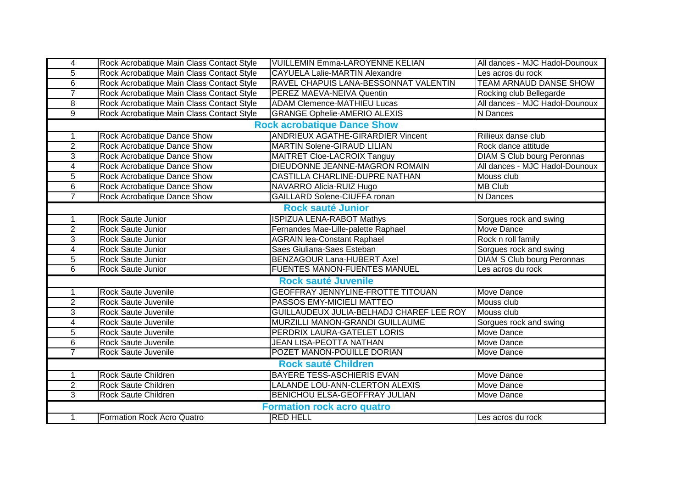| $\overline{4}$                    | Rock Acrobatique Main Class Contact Style | <b>VUILLEMIN Emma-LAROYENNE KELIAN</b>   | All dances - MJC Hadol-Dounoux    |  |  |
|-----------------------------------|-------------------------------------------|------------------------------------------|-----------------------------------|--|--|
| $\overline{5}$                    | Rock Acrobatique Main Class Contact Style | <b>CAYUELA Lalie-MARTIN Alexandre</b>    | Les acros du rock                 |  |  |
| $\overline{6}$                    | Rock Acrobatique Main Class Contact Style | RAVEL CHAPUIS LANA-BESSONNAT VALENTIN    | <b>TEAM ARNAUD DANSE SHOW</b>     |  |  |
| $\overline{7}$                    | Rock Acrobatique Main Class Contact Style | PEREZ MAEVA-NEIVA Quentin                | Rocking club Bellegarde           |  |  |
| 8                                 | Rock Acrobatique Main Class Contact Style | <b>ADAM Clemence-MATHIEU Lucas</b>       | All dances - MJC Hadol-Dounoux    |  |  |
| $\overline{9}$                    | Rock Acrobatique Main Class Contact Style | <b>GRANGE Ophelie-AMERIO ALEXIS</b>      | N Dances                          |  |  |
|                                   |                                           | <b>Rock acrobatique Dance Show</b>       |                                   |  |  |
| 1                                 | Rock Acrobatique Dance Show               | <b>ANDRIEUX AGATHE-GIRARDIER Vincent</b> | Rillieux danse club               |  |  |
| $\overline{2}$                    | Rock Acrobatique Dance Show               | <b>MARTIN Solene-GIRAUD LILIAN</b>       | Rock dance attitude               |  |  |
| $\overline{3}$                    | Rock Acrobatique Dance Show               | MAITRET Cloe-LACROIX Tanguy              | <b>DIAM S Club bourg Peronnas</b> |  |  |
| $\overline{4}$                    | Rock Acrobatique Dance Show               | DIEUDONNE JEANNE-MAGRON ROMAIN           | All dances - MJC Hadol-Dounoux    |  |  |
| $\overline{5}$                    | Rock Acrobatique Dance Show               | CASTILLA CHARLINE-DUPRE NATHAN           | Mouss club                        |  |  |
| $\overline{6}$                    | Rock Acrobatique Dance Show               | NAVARRO Alicia-RUIZ Hugo                 | <b>MB Club</b>                    |  |  |
| $\overline{7}$                    | Rock Acrobatique Dance Show               | <b>GAILLARD Solene-CIUFFA ronan</b>      | N Dances                          |  |  |
|                                   |                                           | <b>Rock sauté Junior</b>                 |                                   |  |  |
| 1                                 | Rock Saute Junior                         | <b>ISPIZUA LENA-RABOT Mathys</b>         | Sorgues rock and swing            |  |  |
| $\overline{2}$                    | Rock Saute Junior                         | Fernandes Mae-Lille-palette Raphael      | <b>Move Dance</b>                 |  |  |
| $\overline{3}$                    | Rock Saute Junior                         | <b>AGRAIN lea-Constant Raphael</b>       | Rock n roll family                |  |  |
| $\overline{\mathbf{4}}$           | Rock Saute Junior                         | Saes Giuliana-Saes Esteban               | Sorgues rock and swing            |  |  |
| $\overline{5}$                    | Rock Saute Junior                         | BENZAGOUR Lana-HUBERT Axel               | <b>DIAM S Club bourg Peronnas</b> |  |  |
| $\overline{6}$                    | Rock Saute Junior                         | FUENTES MANON-FUENTES MANUEL             | Les acros du rock                 |  |  |
|                                   |                                           | <b>Rock sauté Juvenile</b>               |                                   |  |  |
| 1                                 | Rock Saute Juvenile                       | <b>GEOFFRAY JENNYLINE-FROTTE TITOUAN</b> | Move Dance                        |  |  |
| $\overline{2}$                    | Rock Saute Juvenile                       | PASSOS EMY-MICIELI MATTEO                | Mouss club                        |  |  |
| $\overline{3}$                    | Rock Saute Juvenile                       | GUILLAUDEUX JULIA-BELHADJ CHAREF LEE ROY | Mouss club                        |  |  |
| $\overline{4}$                    | Rock Saute Juvenile                       | MURZILLI MANON-GRANDI GUILLAUME          | Sorgues rock and swing            |  |  |
| 5                                 | Rock Saute Juvenile                       | PERDRIX LAURA-GATELET LORIS              | Move Dance                        |  |  |
| 6                                 | Rock Saute Juvenile                       | JEAN LISA-PEOTTA NATHAN                  | Move Dance                        |  |  |
| $\overline{7}$                    | Rock Saute Juvenile                       | POZET MANON-POUILLE DORIAN               | Move Dance                        |  |  |
| <b>Rock sauté Children</b>        |                                           |                                          |                                   |  |  |
| $\mathbf{1}$                      | Rock Saute Children                       | BAYERE TESS-ASCHIERIS EVAN               | Move Dance                        |  |  |
| $\overline{2}$                    | Rock Saute Children                       | LALANDE LOU-ANN-CLERTON ALEXIS           | Move Dance                        |  |  |
| 3                                 | Rock Saute Children                       | BENICHOU ELSA-GEOFFRAY JULIAN            | Move Dance                        |  |  |
| <b>Formation rock acro quatro</b> |                                           |                                          |                                   |  |  |
| 1                                 | Formation Rock Acro Quatro                | <b>RED HELL</b>                          | Les acros du rock                 |  |  |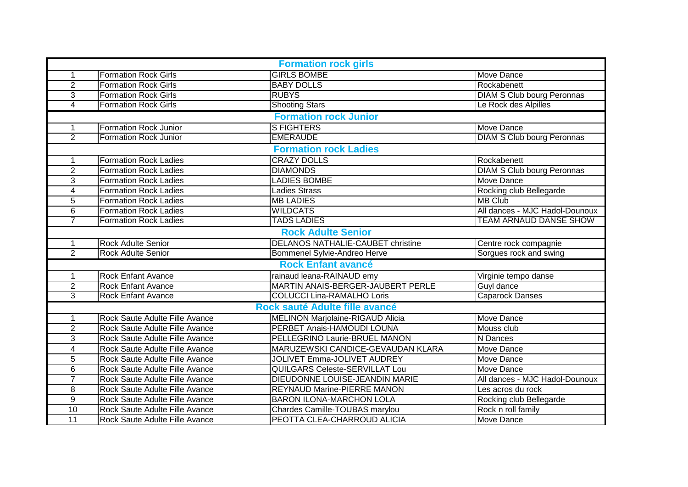| <b>Formation rock girls</b> |                                |                                          |                                   |  |
|-----------------------------|--------------------------------|------------------------------------------|-----------------------------------|--|
| 1                           | <b>Formation Rock Girls</b>    | <b>GIRLS BOMBE</b>                       | Move Dance                        |  |
| $\overline{2}$              | <b>Formation Rock Girls</b>    | <b>BABY DOLLS</b>                        | Rockabenett                       |  |
| 3                           | <b>Formation Rock Girls</b>    | <b>RUBYS</b>                             | <b>DIAM S Club bourg Peronnas</b> |  |
| 4                           | <b>Formation Rock Girls</b>    | <b>Shooting Stars</b>                    | Le Rock des Alpilles              |  |
|                             |                                | <b>Formation rock Junior</b>             |                                   |  |
| 1                           | <b>Formation Rock Junior</b>   | <b>S FIGHTERS</b>                        | <b>Move Dance</b>                 |  |
| $\overline{2}$              | <b>Formation Rock Junior</b>   | <b>EMERAUDE</b>                          | <b>DIAM S Club bourg Peronnas</b> |  |
|                             |                                | <b>Formation rock Ladies</b>             |                                   |  |
| 1                           | <b>Formation Rock Ladies</b>   | <b>CRAZY DOLLS</b>                       | Rockabenett                       |  |
| $\overline{2}$              | <b>Formation Rock Ladies</b>   | <b>DIAMONDS</b>                          | <b>DIAM S Club bourg Peronnas</b> |  |
| 3                           | <b>Formation Rock Ladies</b>   | <b>LADIES BOMBE</b>                      | Move Dance                        |  |
| 4                           | <b>Formation Rock Ladies</b>   | <b>Ladies Strass</b>                     | Rocking club Bellegarde           |  |
| 5                           | <b>Formation Rock Ladies</b>   | <b>MB LADIES</b>                         | <b>MB Club</b>                    |  |
| 6                           | <b>Formation Rock Ladies</b>   | <b>WILDCATS</b>                          | All dances - MJC Hadol-Dounoux    |  |
| $\overline{7}$              | <b>Formation Rock Ladies</b>   | <b>TADS LADIES</b>                       | <b>TEAM ARNAUD DANSE SHOW</b>     |  |
|                             |                                | <b>Rock Adulte Senior</b>                |                                   |  |
| 1                           | Rock Adulte Senior             | <b>DELANOS NATHALIE-CAUBET christine</b> | Centre rock compagnie             |  |
| $\overline{2}$              | <b>Rock Adulte Senior</b>      | Bommenel Sylvie-Andreo Herve             | Sorgues rock and swing            |  |
|                             |                                | <b>Rock Enfant avancé</b>                |                                   |  |
| 1                           | <b>Rock Enfant Avance</b>      | rainaud leana-RAINAUD emy                | Virginie tempo danse              |  |
| $\overline{2}$              | <b>Rock Enfant Avance</b>      | MARTIN ANAIS-BERGER-JAUBERT PERLE        | Guyl dance                        |  |
| $\overline{3}$              | <b>Rock Enfant Avance</b>      | <b>COLUCCI Lina-RAMALHO Loris</b>        | <b>Caparock Danses</b>            |  |
|                             |                                | Rock sauté Adulte fille avancé           |                                   |  |
| 1                           | Rock Saute Adulte Fille Avance | MELINON Marjolaine-RIGAUD Alicia         | Move Dance                        |  |
| $\overline{2}$              | Rock Saute Adulte Fille Avance | PERBET Anais-HAMOUDI LOUNA               | Mouss club                        |  |
| 3                           | Rock Saute Adulte Fille Avance | PELLEGRINO Laurie-BRUEL MANON            | N Dances                          |  |
| 4                           | Rock Saute Adulte Fille Avance | MARUZEWSKI CANDICE-GEVAUDAN KLARA        | Move Dance                        |  |
| 5                           | Rock Saute Adulte Fille Avance | JOLIVET Emma-JOLIVET AUDREY              | Move Dance                        |  |
| 6                           | Rock Saute Adulte Fille Avance | QUILGARS Celeste-SERVILLAT Lou           | Move Dance                        |  |
| $\overline{7}$              | Rock Saute Adulte Fille Avance | DIEUDONNE LOUISE-JEANDIN MARIE           | All dances - MJC Hadol-Dounoux    |  |
| 8                           | Rock Saute Adulte Fille Avance | REYNAUD Marine-PIERRE MANON              | Les acros du rock                 |  |
| $\overline{9}$              | Rock Saute Adulte Fille Avance | <b>BARON ILONA-MARCHON LOLA</b>          | Rocking club Bellegarde           |  |
| $\overline{10}$             | Rock Saute Adulte Fille Avance | Chardes Camille-TOUBAS marylou           | Rock n roll family                |  |
| $\overline{11}$             | Rock Saute Adulte Fille Avance | PEOTTA CLEA-CHARROUD ALICIA              | Move Dance                        |  |